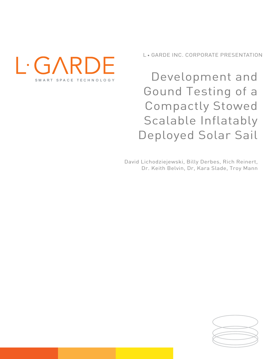

L · GARDE INC. CORPORATE PRESENTATION

Development and Gound Testing of a Compactly Stowed Scalable Inflatably Deployed Solar Sail

David Lichodziejewski, Billy Derbes, Rich Reinert, Dr. Keith Belvin, Dr, Kara Slade, Troy Mann

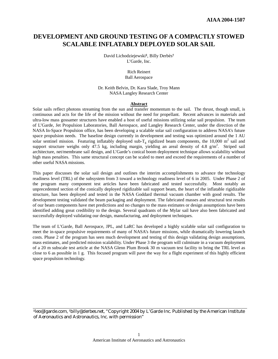# **DEVELOPMENT AND GROUND TESTING OF A COMPACTLY STOWED SCALABLE INFLATABLY DEPLOYED SOLAR SAIL**

David Lichodziejewski‡, Billy Derbès† L'Garde, Inc.

> Rich Reinert Ball Aerospace

Dr. Keith Belvin, Dr. Kara Slade, Troy Mann NASA Langley Research Center

## **Abstract**

Solar sails reflect photons streaming from the sun and transfer momentum to the sail. The thrust, though small, is continuous and acts for the life of the mission without the need for propellant. Recent advances in materials and ultra-low mass gossamer structures have enabled a host of useful missions utilizing solar sail propulsion. The team of L'Garde, Jet Propulsion Laboratories, Ball Aerospace, and Langley Research Center, under the direction of the NASA In-Space Propulsion office, has been developing a scalable solar sail configuration to address NASA's future space propulsion needs. The baseline design currently in development and testing was optimized around the 1 AU solar sentinel mission. Featuring inflatably deployed sub- $T_g$  rigidized beam components, the 10,000 m<sup>2</sup> sail and support structure weighs only 47.5 kg, including margin, yielding an areal density of 4.8  $g/m^2$ . Striped sail architecture, net/membrane sail design, and L'Garde's conical boom deployment technique allows scalability without high mass penalties. This same structural concept can be scaled to meet and exceed the requirements of a number of other useful NASA missions.

This paper discusses the solar sail design and outlines the interim accomplishments to advance the technology readiness level (TRL) of the subsystem from 3 toward a technology readiness level of 6 in 2005. Under Phase 2 of the program many component test articles have been fabricated and tested successfully. Most notably an unprecedented section of the conically deployed rigidizable sail support beam, the heart of the inflatable rigidizable structure, has been deployed and tested in the NASA Goddard thermal vacuum chamber with good results. The development testing validated the beam packaging and deployment. The fabricated masses and structural test results of our beam components have met predictions and no changes to the mass estimates or design assumptions have been identified adding great credibility to the design. Several quadrants of the Mylar sail have also been fabricated and successfully deployed validating our design, manufacturing, and deployment techniques.

The team of L'Garde, Ball Aerospace, JPL, and LaRC has developed a highly scalable solar sail configuration to meet the in-space propulsive requirements of many of NASA's future missions, while dramatically lowering launch costs. Phase 2 of the program has seen much development and testing of this design validating design assumptions, mass estimates, and predicted mission scalability. Under Phase 3 the program will culminate in a vacuum deployment of a 20 m subscale test article at the NASA Glenn Plum Brook 30 m vacuum test facility to bring the TRL level as close to 6 as possible in 1 g. This focused program will pave the way for a flight experiment of this highly efficient space propulsion technology.

<sup>‡</sup>leo@lgarde.com, †billy@derbes.net, "Copyright 2004 by L'Garde Inc. Published by the American Institute of Aeronautics and Astronautics, Inc. with permission"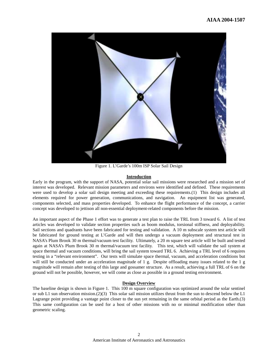

Figure 1. L'Garde's 100m ISP Solar Sail Design

## **Introduction**

Early in the program, with the support of NASA, potential solar sail missions were researched and a mission set of interest was developed. Relevant mission parameters and environs were identified and defined. These requirements were used to develop a solar sail design meeting and exceeding these requirements.(1) This design includes all elements required for power generation, communications, and navigation. An equipment list was generated, components selected, and mass properties developed. To enhance the flight performance of the concept, a carrier concept was developed to jettison all non-essential deployment-related components before the mission.

An important aspect of the Phase 1 effort was to generate a test plan to raise the TRL from 3 toward 6. A list of test articles was developed to validate section properties such as boom modulus, torsional stiffness, and deployability. Sail sections and quadrants have been fabricated for testing and validation. A 10 m subscale system test article will be fabricated for ground testing at L'Garde and will then undergo a vacuum deployment and structural test in NASA's Plum Brook 30 m thermal/vacuum test facility. Ultimately, a 20 m square test article will be built and tested again at NASA's Plum Brook 30 m thermal/vacuum test facility. This test, which will validate the sail system at space thermal and vacuum conditions, will bring the sail system toward TRL 6. Achieving a TRL level of 6 requires testing in a "relevant environment". Our tests will simulate space thermal, vacuum, and acceleration conditions but will still be conducted under an acceleration magnitude of 1 g. Despite offloading many issues related to the 1 g magnitude will remain after testing of this large and gossamer structure. As a result, achieving a full TRL of 6 on the ground will not be possible, however, we will come as close as possible in a ground testing environment.

# **Design Overview**

The baseline design is shown in Figure 1. This 100 m square configuration was optimized around the solar sentinel or sub L1 sun observation mission. $(2)(3)$  This solar sail mission utilizes thrust from the sun to descend below the L1 Lagrange point providing a vantage point closer to the sun yet remaining in the same orbital period as the Earth.(3) This same configuration can be used for a host of other missions with no or minimal modification other than geometric scaling.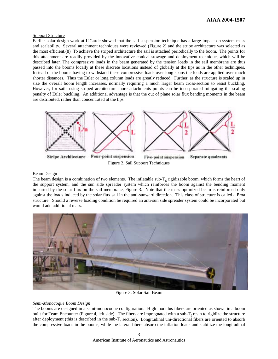#### Support Structure

Earlier solar design work at L'Garde showed that the sail suspension technique has a large impact on system mass and scalability. Several attachment techniques were reviewed (Figure 2) and the stripe architecture was selected as the most efficient.(8) To achieve the striped architecture the sail is attached periodically to the boom. The points for this attachment are readily provided by the innovative conical stowage and deployment technique, which will be described later. The compressive loads in the beam generated by the tension loads in the sail membrane are thus passed into the booms locally at these discrete locations instead of globally at the tips as in the other techniques. Instead of the booms having to withstand these compressive loads over long spans the loads are applied over much shorter distances. Thus the Euler or long column loads are greatly reduced. Further, as the structure is scaled up in size the overall boom length increases, normally requiring a much larger beam cross-section to resist buckling. However, for sails using striped architecture more attachments points can be incorporated mitigating the scaling penalty of Euler buckling. An additional advantage is that the out of plane solar flux bending moments in the beam are distributed, rather than concentrated at the tips.



#### Beam Design

The beam design is a combination of two elements. The inflatable sub- $T_g$  rigidizable boom, which forms the heart of the support system, and the sun side spreader system which reinforces the boom against the bending moment imparted by the solar flux on the sail membrane, Figure 3. Note that the mass optimized beam is reinforced only against the loads induced by the solar flux sail in the anti-sunward direction. This class of structure is called a Proa structure. Should a reverse loading condition be required an anti-sun side spreader system could be incorporated but would add additional mass.



Figure 3. Solar Sail Beam

## *Semi-Monocoque Boom Design*

The booms are designed in a semi-monocoque configuration. High modulus fibers are oriented as shown in a boom built for Team Encounter (Figure 4, left side). The fibers are impregnated with a sub- $T_g$  resin to rigidize the structure after deployment (this is described in the sub- $T_g$  section). Longitudinal uni-directional fibers are oriented to absorb the compressive loads in the booms, while the lateral fibers absorb the inflation loads and stabilize the longitudinal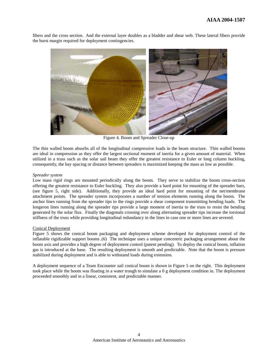fibers and the cross section. And the external layer doubles as a bladder and shear web. These lateral fibers provide the burst margin required for deployment contingencies.

Figure 4. Boom and Spreader Close-up

The thin walled boom absorbs all of the longitudinal compressive loads in the beam structure. Thin walled booms are ideal in compression as they offer the largest sectional moment of inertia for a given amount of material. When utilized in a truss such as the solar sail beam they offer the greatest resistance to Euler or long column buckling, consequently, the bay spacing or distance between spreaders is maximized keeping the mass as low as possible.

## *Spreader system*

Low mass rigid rings are mounted periodically along the boom. They serve to stabilize the boom cross-section offering the greatest resistance to Euler buckling. They also provide a hard point for mounting of the spreader bars, (see figure 5, right side). Additionally, they provide an ideal hard point for mounting of the net/membrane attachment points. The spreader system incorporates a number of tension elements running along the boom. The anchor lines running from the spreader tips to the rings provide a shear component transmitting bending loads. The longeron lines running along the spreader tips provide a large moment of inertia to the truss to resist the bending generated by the solar flux. Finally the diagonals crossing over along alternating spreader tips increase the torsional stiffness of the truss while providing longitudinal redundancy in the lines in case one or more lines are severed.

## Conical Deployment

Figure 5 shows the conical boom packaging and deployment scheme developed for deployment control of the inflatable rigidizable support booms .(6) The technique uses a unique concentric packaging arrangement about the boom axis and provides a high degree of deployment control (patent pending). To deploy the conical boom, inflation gas is introduced at the base. The resulting deployment is smooth and predictable. Note that the boom is pressure stabilized during deployment and is able to withstand loads during extension.

A deployment sequence of a Team Encounter sail conical boom is shown in Figure 5 on the right. This deployment took place while the boom was floating in a water trough to simulate a 0 g deployment condition in. The deployment proceeded smoothly and in a linear, consistent, and predictable manner.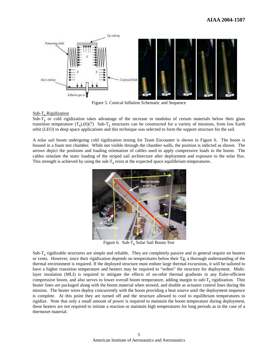

Figure 5. Conical Inflation Schematic and Sequence

## Sub-T<sub>o</sub> Rigidization

Sub- $T_g$  or cold rigidization takes advantage of the increase in modulus of certain materials below their glass transition temperature  $(T_g)$ .(6)(7) Sub-T<sub>g</sub> structures can be constructed for a variety of missions, from low Earth orbit (LEO) to deep space applications and this technique was selected to form the support structure for the sail.

A solar sail boom undergoing cold rigidization testing for Team Encounter is shown in Figure 6. The boom is housed in a foam test chamber. While not visible through the chamber walls, the position is indicted as shown. The arrows depict the positions and loading orientation of cables used to apply compressive loads to the boom. The cables simulate the static loading of the striped sail architecture after deployment and exposure to the solar flux. This strength is achieved by using the sub- $T_g$  resin at the expected space equilibrium temperatures.



Figure 6. Sub-Tg Solar Sail Boom Test

 $Sub-T<sub>g</sub>$  rigidizable structures are simple and reliable. They are completely passive and in general require no heaters or vents. However, since their rigidization depends on temperatures below their Tg, a thorough understanding of the thermal environment is required. If the deployed structure must endure large thermal excursions, it will be tailored to have a higher transition temperature and heaters may be required to "soften" the structure for deployment. Multilayer insulation (MLI) is required to mitigate the effects of on-orbit thermal gradients in any Euler-efficient compressive boom, and also serves to lower overall boom temperature, adding margin to sub- $T<sub>g</sub>$  rigidization. Thin heater lines are packaged along with the boom material when stowed, and double as actuator control lines during the mission. The heater wires deploy concurrently with the boom providing a heat source until the deployment sequence is complete. At this point they are turned off and the structure allowed to cool to equilibrium temperatures to rigidize. Note that only a small amount of power is required to maintain the boom temperature during deployment, these heaters are not required to initiate a reaction or maintain high temperatures for long periods as in the case of a thermoset material.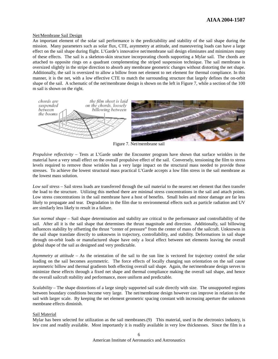## Net/Membrane Sail Design

An important element of the solar sail performance is the predictability and stability of the sail shape during the mission. Many parameters such as solar flux, CTE, asymmetry at attitude, and maneuvering loads can have a large effect on the sail shape during flight. L'Garde's innovative net/membrane sail design eliminates and minimizes many of these effects. The sail is a skeleton-skin structure incorporating chords supporting a Mylar sail. The chords are attached to opposite rings on a quadrant complementing the striped suspension technique. The sail membrane is oversized slightly in the stripe direction to absorb any membrane geometric changes without distorting the net shape. Additionally, the sail is oversized to allow a billow from net element to net element for thermal compliance. In this manner, it is the net, with a low effective CTE to match the surrounding structure that largely defines the on-orbit shape of the sail. A schematic of the net/membrane design is shown on the left in Figure 7, while a section of the 100 m sail is shown on the right.



Figure 7. Net/membrane sail

*Propulsive reflectivity* – Tests at L'Garde under the Encounter program have shown that surface wrinkles in the material have a very small effect on the overall propulsive effect of the sail. Conversely, tensioning the film to stress levels required to remove those wrinkles has a very large impact on the structural mass needed to provide those stresses. To achieve the lowest structural mass practical L'Garde accepts a low film stress in the sail membrane as the lowest mass solution.

*Low sail stress* – Sail stress loads are transferred through the sail material to the nearest net element that then transfer the load to the structure. Utilizing this method there are minimal stress concentrations in the sail and attach points. Low stress concentrations in the sail membrane have a host of benefits. Small holes and minor damage are far less likely to propagate and tear. Degradation in the film due to environmental effects such as particle radiation and UV are similarly less likely to result in a failure.

*Sun normal shape* – Sail shape determination and stability are critical to the performance and controllability of the sail. After all it is the sail shape that determines the thrust magnitude and direction. Additionally, sail billowing influences stability by offsetting the thrust "center of pressure" from the center of mass of the sailcraft. Unknowns in the sail shape translate directly to unknowns in trajectory, controllability, and stability. Deformations in sail shape through on-orbit loads or manufactured shape have only a local effect between net elements leaving the overall global shape of the sail as designed and very predictable.

*Asymmetry at attitude* – As the orientation of the sail to the sun line is vectored for trajectory control the solar loading on the sail becomes asymmetric. The force effects of locally changing sun orientation on the sail cause asymmetric billow and thermal gradients both effecting overall sail shape. Again, the net/membrane design serves to minimize these effects through a fixed net shape and thermal compliance making the overall sail shape, and hence the overall sailcraft stability and performance, more uniform and predictable.

*Scalability* – The shape distortions of a large simply supported sail scale directly with size. The unsupported regions between boundary conditions become very large. The net/membrane design however can improve in relation to the sail with larger scale. By keeping the net element geometric spacing constant with increasing aperture the unknown membrane effects diminish.

## Sail Material

Mylar has been selected for utilization as the sail membranes.(9) This material, used in the electronics industry, is low cost and readily available. Most importantly it is readily available in very low thicknesses. Since the film is a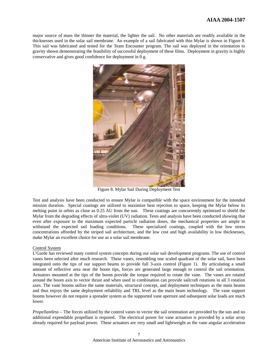major source of mass the thinner the material, the lighter the sail. No other materials are readily available in the thicknesses used in the solar sail membrane. An example of a sail fabricated with thin Mylar is shown in Figure 8. This sail was fabricated and tested for the Team Encounter program. The sail was deployed in the orientation to gravity shown demonstrating the feasibility of successful deployment of these films. Deployment in gravity is highly conservative and gives good confidence for deployment in 0 g.



Figure 8. Mylar Sail During Deployment Test

Test and analysis have been conducted to ensure Mylar is compatible with the space environment for the intended mission duration. Special coatings are utilized to maximize heat rejection to space, keeping the Mylar below its melting point in orbits as close as 0.25 AU from the sun. These coatings are concurrently optimized to shield the Mylar from the degrading effects of ultra-violet (UV) radiation. Tests and analysis have been conducted showing that even after exposure to the maximum expected particle radiation doses, the mechanical properties are ample to withstand the expected sail loading conditions. These specialized coatings, coupled with the low stress concentrations afforded by the striped sail architecture, and the low cost and high availability in low thicknesses, make Mylar an excellent choice for use as a solar sail membrane.

# Control System

L'Garde has reviewed many control system concepts during our solar sail development programs. The use of control vanes been selected after much research. These vanes, resembling one scaled quadrant of the solar sail, have been integrated onto the tips of our support beams to provide full 3-axis control (Figure 1). By articulating a small amount of reflective area near the boom tips, forces are generated large enough to control the sail orientation. Actuators mounted at the tips of the boom provide the torque required to rotate the vane. The vanes are rotated around the boom axis to vector thrust and when used in combination can provide sailcraft rotations in all 3 rotation axes. The vane booms utilize the same materials, structural concept, and deployment techniques as the main beams and thus enjoys the same deployment reliability and TRL level as the main beam technology. The vane support booms however do not require a spreader system as the supported vane aperture and subsequent solar loads are much lower.

*Propellantless* – The forces utilized by the control vanes to vector the sail orientation are provided by the sun and no additional expendable propellant is required. The electrical power for vane actuation is provided by a solar array already required for payload power. These actuators are very small and lightweight as the vane angular acceleration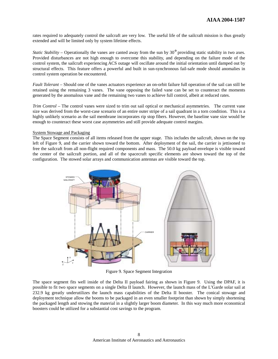rates required to adequately control the sailcraft are very low. The useful life of the sailcraft mission is thus greatly extended and will be limited only by system lifetime effects.

*Static Stability* – Operationally the vanes are canted away from the sun by 30° providing static stability in two axes. Provided disturbances are not high enough to overcome this stability, and depending on the failure mode of the control system, the sailcraft experiencing ACS outage will oscillate around the initial orientation until damped out by structural effects. This feature offers a powerful and built in sun-synchronous fail-safe mode should anomalies in control system operation be encountered.

*Fault Tolerant* – Should one of the vanes actuators experience an on-orbit failure full operation of the sail can still be retained using the remaining 3 vanes. The vane opposing the failed vane can be set to counteract the moments generated by the anomalous vane and the remaining two vanes to achieve full control, albeit at reduced rates.

*Trim Control* – The control vanes were sized to trim out sail optical or mechanical asymmetries. The current vane size was derived from the worst-case scenario of an entire outer stripe of a sail quadrant in a torn condition. This is a highly unlikely scenario as the sail membrane incorporates rip stop fibers. However, the baseline vane size would be enough to counteract these worst case asymmetries and still provide adequate control margins.

## System Stowage and Packaging

The Space Segment consists of all items released from the upper stage. This includes the sailcraft, shown on the top left of Figure 9, and the carrier shown toward the bottom. After deployment of the sail, the carrier is jettisoned to free the sailcraft from all non-flight required components and mass. The 50.0 kg payload envelope is visible toward the center of the sailcraft portion, and all of the spacecraft specific elements are shown toward the top of the configuration. The stowed solar arrays and communication antennas are visible toward the top.



Figure 9. Space Segment Integration

The space segment fits well inside of the Delta II payload fairing as shown in Figure 9. Using the DPAF, it is possible to fit two space segments on a single Delta II launch. However, the launch mass of the L'Garde solar sail at 232.9 kg greatly underutilizes the launch mass capabilities of the Delta II booster. The conical stowage and deployment technique allow the booms to be packaged in an even smaller footprint than shown by simply shortening the packaged length and stowing the material in a slightly larger boom diameter. In this way much more economical boosters could be utilized for a substantial cost savings to the program.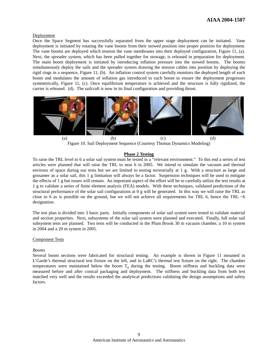#### **Deployment**

Once the Space Segment has successfully separated from the upper stage deployment can be initiated. Vane deployment is initiated by rotating the vane booms from their stowed position into proper position for deployment. The vane booms are deployed which tension the vane membranes into their deployed configuration, Figure 11, (a). Next, the spreader system, which has been pulled together for stowage, is released in preparation for deployment. The main boom deployment is initiated by introducing inflation pressure into the stowed booms. The booms simultaneously deploy the sails and the spreader system drawing the tension cables into position by deploying the rigid rings in a sequence, Figure 11, (b). An inflation control system carefully monitors the deployed length of each boom and modulates the amount of inflation gas introduced to each boom to ensure the deployment progresses symmetrically, Figure 11, (c). Once equilibrium temperature is achieved and the structure is fully rigidized, the carrier is released. (d). The sailcraft is now in its final configuration and providing thrust.



Figure 10. Sail Deployment Sequence (Courtesy Thomas Dynamics Modeling)

#### **Phase 2 Testing**

To raise the TRL level to 6 a solar sail system must be tested in a "relevant environment." To this end a series of test articles were planned that will raise the TRL to near 6 in 2005. We intend to simulate the vacuum and thermal environs of space during our tests but we are limited to testing terrestrially at 1 g. With a structure as large and gossamer as a solar sail, this 1 g limitation will always be a factor. Suspension techniques will be used to mitigate the effects of 1 g but issues will remain. An important aspect of the effort will be to carefully utilize the test results at 1 g to validate a series of finite element analysis (FEA) models. With these techniques, validated predictions of the structural performance of the solar sail configurations at 0 g will be generated. In this way we will raise the TRL as close to 6 as is possible on the ground, but we will not achieve all requirements for TRL 6, hence the TRL  $~\sim$ 6 designation.

The test plan is divided into 3 basic parts. Initially components of solar sail system were tested to validate material and section properties. Next, subsystems of the solar sail system were planned and executed. Finally, full solar sail subsystem tests are planned. Two tests will be conducted in the Plum Brook 30 m vacuum chamber, a 10 m system in 2004 and a 20 m system in 2005.

#### Component Tests

#### *Booms*

Several boom sections were fabricated for structural testing. An example is shown in Figure 11 mounted in L'Garde's thermal structural test fixture on the left, and in LaRC's thermal test fixture on the right. The chamber temperatures were maintained below the boom  $T<sub>g</sub>$  during the testing. Boom stiffness and buckling data were measured before and after conical packaging and deployment. The stiffness and buckling data from both test matched very well and the results exceeded the analytical predictions validating the design assumptions and safety factors.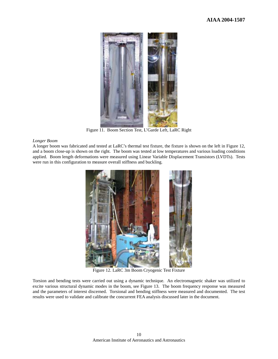

Figure 11. Boom Section Test, L'Garde Left, LaRC Right

## *Longer Boom*

A longer boom was fabricated and tested at LaRC's thermal test fixture, the fixture is shown on the left in Figure 12, and a boom close-up is shown on the right. The boom was tested at low temperatures and various loading conditions applied. Boom length deformations were measured using Linear Variable Displacement Transistors (LVDTs). Tests were run in this configuration to measure overall stiffness and buckling.



Figure 12. LaRC 3m Boom Cryogenic Test Fixture

Torsion and bending tests were carried out using a dynamic technique. An electromagnetic shaker was utilized to excite various structural dynamic modes in the boom, see Figure 13. The boom frequency response was measured and the parameters of interest discerned. Torsional and bending stiffness were measured and documented. The test results were used to validate and calibrate the concurrent FEA analysis discussed later in the document.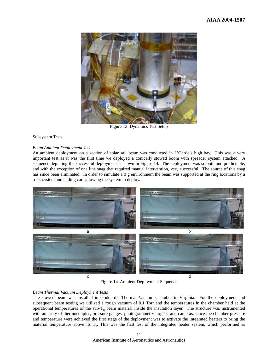

Figure 13. Dynamics Test Setup

## Subsystem Tests

## *Beam Ambient Deployment Test*

An ambient deployment on a section of solar sail beam was conducted in L'Garde's high bay. This was a very important test as it was the first time we deployed a conically stowed boom with spreader system attached. A sequence depicting the successful deployment is shown in Figure 14. The deployment was smooth and predictable, and with the exception of one line snag that required manual intervention, very successful. The source of this snag has since been eliminated. In order to simulate a 0 g environment the beam was supported at the ring locations by a truss system and sliding cars allowing the system to deploy.



Figure 14. Ambient Deployment Sequence

# *Beam Thermal Vacuum Deployment Tests*

The stowed beam was installed in Goddard's Thermal Vacuum Chamber in Virginia. For the deployment and subsequent beam testing we utilized a rough vacuum of 0.1 Torr and the temperatures in the chamber held at the operational temperatures of the sub- $T_g$  beam material inside the insulation layer. The structure was instrumented with an array of thermocouples, pressure gauges, photogrammetry targets, and cameras. Once the chamber pressure and temperature were achieved the first stage of the deployment was to activate the integrated heaters to bring the material temperature above its  $T_g$ . This was the first test of the integrated heater system, which performed as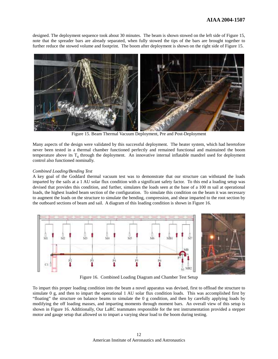designed. The deployment sequence took about 30 minutes. The beam is shown stowed on the left side of Figure 15, note that the spreader bars are already separated, when fully stowed the tips of the bars are brought together to further reduce the stowed volume and footprint. The boom after deployment is shown on the right side of Figure 15.



Figure 15. Beam Thermal Vacuum Deployment, Pre and Post-Deployment

Many aspects of the design were validated by this successful deployment. The heater system, which had heretofore never been tested in a thermal chamber functioned perfectly and remained functional and maintained the boom temperature above its  $T_g$  through the deployment. An innovative internal inflatable mandrel used for deployment control also functioned nominally.

# *Combined Loading/Bending Test*

A key goal of the Goddard thermal vacuum test was to demonstrate that our structure can withstand the loads imparted by the sails at a 1 AU solar flux condition with a significant safety factor. To this end a loading setup was devised that provides this condition, and further, simulates the loads seen at the base of a 100 m sail at operational loads, the highest loaded beam section of the configuration. To simulate this condition on the beam it was necessary to augment the loads on the structure to simulate the bending, compression, and shear imparted to the root section by the outboard sections of beam and sail. A diagram of this loading condition is shown in Figure 16.



Figure 16. Combined Loading Diagram and Chamber Test Setup

To impart this proper loading condition into the beam a novel apparatus was devised, first to offload the structure to simulate 0 g, and then to impart the operational 1 AU solar flux condition loads. This was accomplished first by "floating" the structure on balance beams to simulate the 0 g condition, and then by carefully applying loads by modifying the off loading masses, and imparting moments through moment bars. An overall view of this setup is shown in Figure 16. Additionally, Our LaRC teammates responsible for the test instrumentation provided a stepper motor and gauge setup that allowed us to impart a varying shear load to the boom during testing.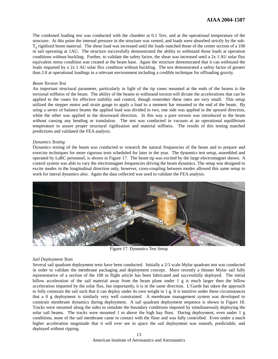The combined loading test was conducted with the chamber at 0.1 Torr, and at the operational temperature of the structure. At this point the internal pressure in the structure was vented, and loads were absorbed strictly by the sub-Tg rigidized beam material. The shear load was increased until the loads matched those of the center section of a 100 m sail operating at 1AU. The structure successfully demonstrated the ability to withstand those loads at operation conditions without buckling. Further, to validate the safety factor, the shear was increased until a 2x 1 AU solar flux equivalent stress condition was created at the beam base. Again the structure demonstrated that it can withstand the loads imparted by a 2x 1 AU solar flux condition without buckling. The test demonstrated a safety factor of greater than 2.0 at operational loadings in a relevant environment including a credible technique for offloading gravity.

## *Beam Torsion Test*

An important structural parameter, particularly in light of the tip vanes mounted at the ends of the beams is the torsional stiffness of the beam. The ability of the beams to withstand torsion will dictate the accelerations that can be applied to the vanes for effective stability and control, though remember these rates are very small. This setup utilized the stepper motor and strain gauge to apply a load to a moment bar mounted to the end of the beam. By using a series of balance beams the applied load was divided in two, one side was applied in the upward direction, while the other was applied in the downward direction. In this way a pure torsion was introduced to the beam without causing any bending or translation. The test was conducted in vacuum at an operational equilibrium temperature to assure proper structural rigidization and material stiffness. The results of this testing matched predictions and validated the FEA analysis.

## *Dynamics Testing*

Dynamics testing of the beam was conducted to research the natural frequencies of the beam and to prepare and exercise techniques for more rigorous tests scheduled for later in the year. The dynamics test setup, assembled and operated by LaRC personnel, is shown in Figure 17. The beam tip was excited by the large electromagnet shown. A control system was able to vary the electromagnet frequencies driving the beam dynamics. The setup was designed to excite modes in the longitudinal direction only, however, cross-coupling between modes allowed this same setup to work for lateral dynamics also. Again the data collected was used to validate the FEA analysis.



Figure 17. Dynamics Test Setup

# *Sail Deployment Tests*

Several sail quadrant deployment tests have been conducted. Initially a 2/3 scale Mylar quadrant test was conducted in order to validate the membrane packaging and deployment concept. More recently a thinner Mylar sail fully representative of a section of the 100 m flight article has been fabricated and successfully deployed. The initial billow acceleration of the sail material away from the beam plane under 1 g is much larger then the billow acceleration imparted by the solar flux, but importantly, it is in the same direction. L'Garde has taken the approach to fully constrain the sail such that it can deploy under its own weight in 1 g. It is intuitive under these circumstances that a 0 g deployment is similarly very well constrained. A membrane management system was developed to constrain membrane dynamics during deployment. A sail quadrant deployment sequence is shown in Figure 18. Tracks were mounted along the sides to simulate the boundary conditions imposed by simultaneously deploying the solar sail beams. The tracks were mounted 1 m above the high bay floor. During deployment, even under 1 g conditions, none of the sail membrane came in contact with the floor and was fully controlled. Even under a much higher acceleration magnitude that it will ever see in space the sail deployment was smooth, predictable, and deployed without ripping.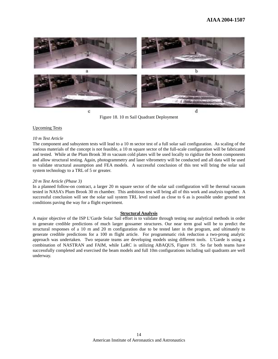

Figure 18. 10 m Sail Quadrant Deployment

# Upcoming Tests

## *10 m Test Article*

The component and subsystem tests will lead to a 10 m sector test of a full solar sail configuration. As scaling of the various materials of the concept is not feasible, a 10 m square sector of the full-scale configuration will be fabricated and tested. While at the Plum Brook 30 m vacuum cold plates will be used locally to rigidize the boom components and allow structural testing. Again, photogrammetry and laser vibrometry will be conducted and all data will be used to validate structural assumption and FEA models. A successful conclusion of this test will bring the solar sail system technology to a TRL of 5 or greater.

## *20 m Test Article (Phase 3)*

In a planned follow-on contract, a larger 20 m square sector of the solar sail configuration will be thermal vacuum tested in NASA's Plum Brook 30 m chamber. This ambitious test will bring all of this work and analysis together. A successful conclusion will see the solar sail system TRL level raised as close to 6 as is possible under ground test conditions paving the way for a flight experiment.

# **Structural Analysis**

A major objective of the ISP L'Garde Solar Sail effort is to validate through testing our analytical methods in order to generate credible predictions of much larger gossamer structures. Our near term goal will be to predict the structural responses of a 10 m and 20 m configuration due to be tested later in the program, and ultimately to generate credible predictions for a 100 m flight article. For programmatic risk reduction a two-prong analytic approach was undertaken. Two separate teams are developing models using different tools. L'Garde is using a combination of NASTRAN and FAIM, while LaRC is utilizing ABAQUS, Figure 19. So far both teams have successfully completed and exercised the beam models and full 10m configurations including sail quadrants are well underway.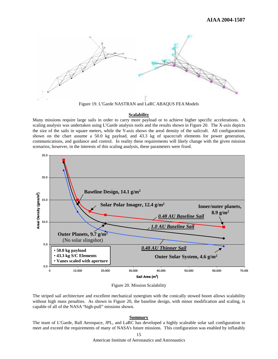

Figure 19. L'Garde NASTRAN and LaRC ABAQUS FEA Models

## **Scalability**

Many missions require large sails in order to carry more payload or to achieve higher specific accelerations. A scaling analysis was undertaken using L'Garde analysis tools and the results shown in Figure 20. The X-axis depicts the size of the sails in square meters, while the Y-axis shows the areal density of the sailcraft. All configurations shown on the chart assume a 50.0 kg payload, and 43.3 kg of spacecraft elements for power generation, communications, and guidance and control. In reality these requirements will likely change with the given mission scenarios, however, in the interests of this scaling analysis, these parameters were fixed.



Figure 20. Mission Scalability

The striped sail architecture and excellent mechanical synergism with the conically stowed boom allows scalability without high mass penalties. As shown in Figure 20, the baseline design, with minor modification and scaling, is capable of all of the NASA "high-pull" missions shown.

# **Summary**

The team of L'Garde, Ball Aerospace, JPL, and LaRC has developed a highly scaleable solar sail configuration to meet and exceed the requirements of many of NASA's future missions. This configuration was enabled by inflatably

15